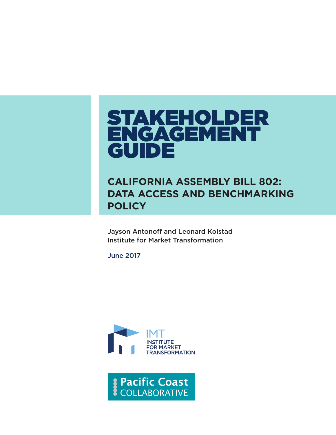# STAKEHOLDER ENGAGEMENT GUIDE

# **CALIFORNIA ASSEMBLY BILL 802: DATA ACCESS AND BENCHMARKING POLICY**

Jayson Antonoff and Leonard Kolstad Institute for Market Transformation

June 2017



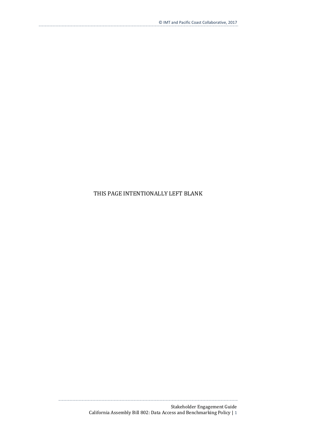#### THIS PAGE INTENTIONALLY LEFT BLANK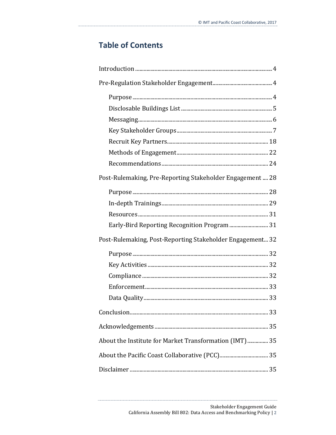# **Table of Contents**

| Post-Rulemaking, Pre-Reporting Stakeholder Engagement  28 |
|-----------------------------------------------------------|
|                                                           |
|                                                           |
|                                                           |
| Early-Bird Reporting Recognition Program  31              |
| Post-Rulemaking, Post-Reporting Stakeholder Engagement 32 |
|                                                           |
|                                                           |
|                                                           |
|                                                           |
|                                                           |
|                                                           |
|                                                           |
| About the Institute for Market Transformation (IMT) 35    |
|                                                           |
|                                                           |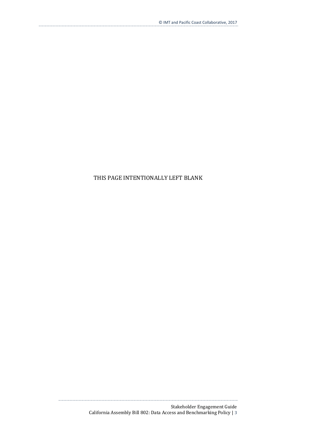#### THIS PAGE INTENTIONALLY LEFT BLANK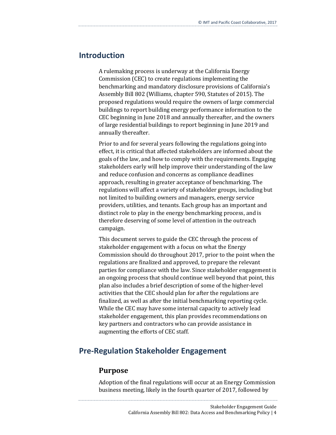# <span id="page-4-0"></span>**Introduction**

A rulemaking process is underway at the California Energy Commission (CEC) to create regulations implementing the benchmarking and mandatory disclosure provisions of California's Assembly Bill 802 (Williams, chapter 590, Statutes of 2015). The proposed regulations would require the owners of large commercial buildings to report building energy performance information to the CEC beginning in June 2018 and annually thereafter, and the owners of large residential buildings to report beginning in June 2019 and annually thereafter.

Prior to and for several years following the regulations going into effect, it is critical that affected stakeholders are informed about the goals of the law, and how to comply with the requirements. Engaging stakeholders early will help improve their understanding of the law and reduce confusion and concerns as compliance deadlines approach, resulting in greater acceptance of benchmarking. The regulations will affect a variety of stakeholder groups, including but not limited to building owners and managers, energy service providers, utilities, and tenants. Each group has an important and distinct role to play in the energy benchmarking process, and is therefore deserving of some level of attention in the outreach campaign.

This document serves to guide the CEC through the process of stakeholder engagement with a focus on what the Energy Commission should do throughout 2017, prior to the point when the regulations are finalized and approved, to prepare the relevant parties for compliance with the law. Since stakeholder engagement is an ongoing process that should continue well beyond that point, this plan also includes a brief description of some of the higher-level activities that the CEC should plan for after the regulations are finalized, as well as after the initial benchmarking reporting cycle. While the CEC may have some internal capacity to actively lead stakeholder engagement, this plan provides recommendations on key partners and contractors who can provide assistance in augmenting the efforts of CEC staff.

# <span id="page-4-1"></span>**Pre-Regulation Stakeholder Engagement**

## <span id="page-4-2"></span>**Purpose**

Adoption of the final regulations will occur at an Energy Commission business meeting, likely in the fourth quarter of 2017, followed by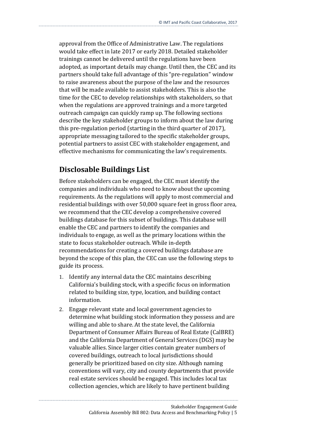approval from the Office of Administrative Law. The regulations would take effect in late 2017 or early 2018. Detailed stakeholder trainings cannot be delivered until the regulations have been adopted, as important details may change. Until then, the CEC and its partners should take full advantage of this "pre-regulation" window to raise awareness about the purpose of the law and the resources that will be made available to assist stakeholders. This is also the time for the CEC to develop relationships with stakeholders, so that when the regulations are approved trainings and a more targeted outreach campaign can quickly ramp up. The following sections describe the key stakeholder groups to inform about the law during this pre-regulation period (starting in the third quarter of 2017), appropriate messaging tailored to the specific stakeholder groups, potential partners to assist CEC with stakeholder engagement, and effective mechanisms for communicating the law's requirements.

# <span id="page-5-0"></span>**Disclosable Buildings List**

Before stakeholders can be engaged, the CEC must identify the companies and individuals who need to know about the upcoming requirements. As the regulations will apply to most commercial and residential buildings with over 50,000 square feet in gross floor area, we recommend that the CEC develop a comprehensive covered buildings database for this subset of buildings. This database will enable the CEC and partners to identify the companies and individuals to engage, as well as the primary locations within the state to focus stakeholder outreach. While in-depth recommendations for creating a covered buildings database are beyond the scope of this plan, the CEC can use the following steps to guide its process.

- 1. Identify any internal data the CEC maintains describing California's building stock, with a specific focus on information related to building size, type, location, and building contact information.
- 2. Engage relevant state and local government agencies to determine what building stock information they possess and are willing and able to share. At the state level, the California Department of Consumer Affairs Bureau of Real Estate (CalBRE) and the California Department of General Services (DGS) may be valuable allies. Since larger cities contain greater numbers of covered buildings, outreach to local jurisdictions should generally be prioritized based on city size. Although naming conventions will vary, city and county departments that provide real estate services should be engaged. This includes local tax collection agencies, which are likely to have pertinent building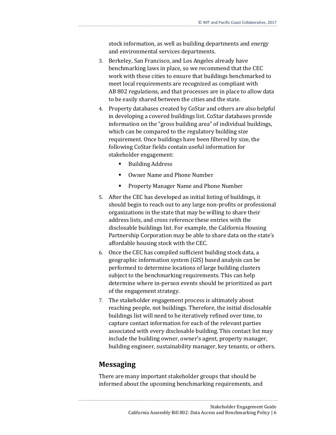stock information, as well as building departments and energy and environmental services departments.

- 3. Berkeley, San Francisco, and Los Angeles already have benchmarking laws in place, so we recommend that the CEC work with these cities to ensure that buildings benchmarked to meet local requirements are recognized as compliant with AB 802 regulations, and that processes are in place to allow data to be easily shared between the cities and the state.
- 4. Property databases created by CoStar and others are also helpful in developing a covered buildings list. CoStar databases provide information on the "gross building area" of individual buildings, which can be compared to the regulatory building size requirement. Once buildings have been filtered by size, the following CoStar fields contain useful information for stakeholder engagement:
	- Building Address
	- Owner Name and Phone Number
	- **Property Manager Name and Phone Number**
- 5. After the CEC has developed an initial listing of buildings, it should begin to reach out to any large non-profits or professional organizations in the state that may be willing to share their address lists, and cross reference these entries with the disclosable buildings list. For example, the California Housing Partnership Corporation may be able to share data on the state's affordable housing stock with the CEC.
- 6. Once the CEC has compiled sufficient building stock data, a geographic information system (GIS) based analysis can be performed to determine locations of large building clusters subject to the benchmarking requirements. This can help determine where in-person events should be prioritized as part of the engagement strategy.
- 7. The stakeholder engagement process is ultimately about reaching people, not buildings. Therefore, the initial disclosable buildings list will need to be iteratively refined over time, to capture contact information for each of the relevant parties associated with every disclosable building. This contact list may include the building owner, owner's agent, property manager, building engineer, sustainability manager, key tenants, or others.

# <span id="page-6-0"></span>**Messaging**

There are many important stakeholder groups that should be informed about the upcoming benchmarking requirements, and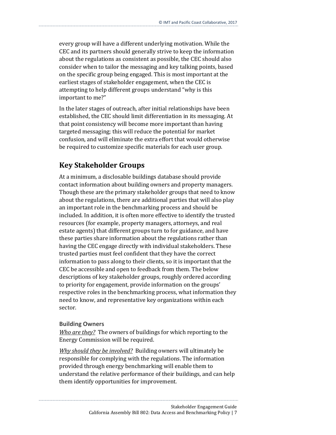every group will have a different underlying motivation. While the CEC and its partners should generally strive to keep the information about the regulations as consistent as possible, the CEC should also consider when to tailor the messaging and key talking points, based on the specific group being engaged. This is most important at the earliest stages of stakeholder engagement, when the CEC is attempting to help different groups understand "why is this important to me?"

In the later stages of outreach, after initial relationships have been established, the CEC should limit differentiation in its messaging. At that point consistency will become more important than having targeted messaging; this will reduce the potential for market confusion, and will eliminate the extra effort that would otherwise be required to customize specific materials for each user group.

# <span id="page-7-0"></span>**Key Stakeholder Groups**

At a minimum, a disclosable buildings database should provide contact information about building owners and property managers. Though these are the primary stakeholder groups that need to know about the regulations, there are additional parties that will also play an important role in the benchmarking process and should be included. In addition, it is often more effective to identify the trusted resources (for example, property managers, attorneys, and real estate agents) that different groups turn to for guidance, and have these parties share information about the regulations rather than having the CEC engage directly with individual stakeholders. These trusted parties must feel confident that they have the correct information to pass along to their clients, so it is important that the CEC be accessible and open to feedback from them. The below descriptions of key stakeholder groups, roughly ordered according to priority for engagement, provide information on the groups' respective roles in the benchmarking process, what information they need to know, and representative key organizations within each sector.

#### **Building Owners**

*Who are they?*The owners of buildings for which reporting to the Energy Commission will be required.

*Why should they be involved?* Building owners will ultimately be responsible for complying with the regulations. The information provided through energy benchmarking will enable them to understand the relative performance of their buildings, and can help them identify opportunities for improvement.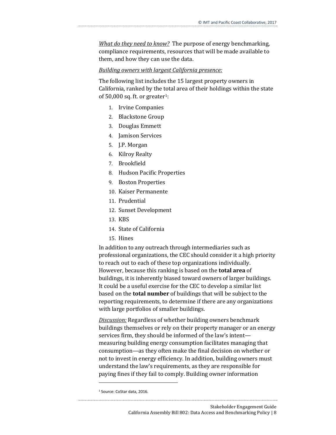*What do they need to know?*The purpose of energy benchmarking, compliance requirements, resources that will be made available to them, and how they can use the data.

#### *Building owners with largest California presence:*

The following list includes the 15 largest property owners in California, ranked by the total area of their holdings within the state of 50,000 sq. ft. or greater1:

- 1. Irvine Companies
- 2. Blackstone Group
- 3. Douglas Emmett
- 4. Jamison Services
- 5. J.P. Morgan
- 6. Kilroy Realty
- 7. Brookfield
- 8. Hudson Pacific Properties
- 9. Boston Properties
- 10. Kaiser Permanente
- 11. Prudential
- 12. Sunset Development
- 13. KBS
- 14. State of California
- 15. Hines

In addition to any outreach through intermediaries such as professional organizations, the CEC should consider it a high priority to reach out to each of these top organizations individually. However, because this ranking is based on the **total area** of buildings, it is inherently biased toward owners of larger buildings. It could be a useful exercise for the CEC to develop a similar list based on the **total number** of buildings that will be subject to the reporting requirements, to determine if there are any organizations with large portfolios of smaller buildings.

*Discussion:* Regardless of whether building owners benchmark buildings themselves or rely on their property manager or an energy services firm, they should be informed of the law's intent measuring building energy consumption facilitates managing that consumption—as they often make the final decision on whether or not to invest in energy efficiency. In addition, building owners must understand the law's requirements, as they are responsible for paying fines if they fail to comply. Building owner information

l

<sup>&</sup>lt;sup>1</sup> Source: CoStar data, 2016.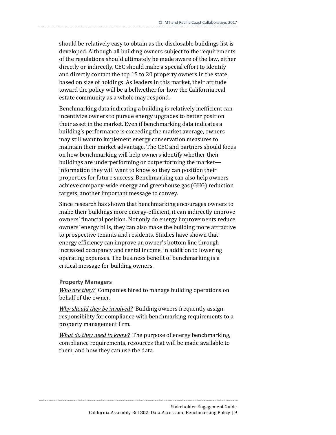should be relatively easy to obtain as the disclosable buildings list is developed. Although all building owners subject to the requirements of the regulations should ultimately be made aware of the law, either directly or indirectly, CEC should make a special effort to identify and directly contact the top 15 to 20 property owners in the state, based on size of holdings. As leaders in this market, their attitude toward the policy will be a bellwether for how the California real estate community as a whole may respond.

Benchmarking data indicating a building is relatively inefficient can incentivize owners to pursue energy upgrades to better position their asset in the market. Even if benchmarking data indicates a building's performance is exceeding the market average, owners may still want to implement energy conservation measures to maintain their market advantage. The CEC and partners should focus on how benchmarking will help owners identify whether their buildings are underperforming or outperforming the market information they will want to know so they can position their properties for future success. Benchmarking can also help owners achieve company-wide energy and greenhouse gas (GHG) reduction targets, another important message to convey.

Since research has shown that benchmarking encourages owners to make their buildings more energy-efficient, it can indirectly improve owners' financial position. Not only do energy improvements reduce owners' energy bills, they can also make the building more attractive to prospective tenants and residents. Studies have shown that energy efficiency can improve an owner's bottom line through increased occupancy and rental income, in addition to lowering operating expenses. The business benefit of benchmarking is a critical message for building owners.

#### **Property Managers**

*Who are they?* Companies hired to manage building operations on behalf of the owner.

*Why should they be involved?* Building owners frequently assign responsibility for compliance with benchmarking requirements to a property management firm.

*What do they need to know?* The purpose of energy benchmarking, compliance requirements, resources that will be made available to them, and how they can use the data.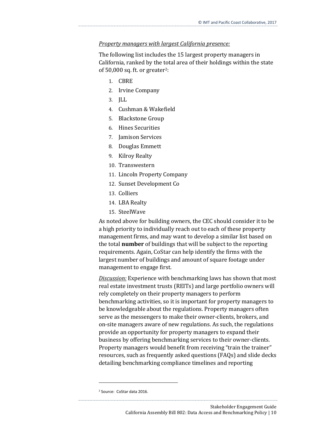#### *Property managers with largest California presence:*

The following list includes the 15 largest property managers in California, ranked by the total area of their holdings within the state of  $50,000$  sq. ft. or greater<sup>2</sup>:

- 1. CBRE
- 2. Irvine Company
- 3. JLL
- 4. Cushman & Wakefield
- 5. Blackstone Group
- 6. Hines Securities
- 7. Jamison Services
- 8. Douglas Emmett
- 9. Kilroy Realty
- 10. Transwestern
- 11. Lincoln Property Company
- 12. Sunset Development Co
- 13. Colliers
- 14. LBA Realty
- 15. SteelWave

As noted above for building owners, the CEC should consider it to be a high priority to individually reach out to each of these property management firms, and may want to develop a similar list based on the total **number** of buildings that will be subject to the reporting requirements. Again, CoStar can help identify the firms with the largest number of buildings and amount of square footage under management to engage first.

*Discussion:* Experience with benchmarking laws has shown that most real estate investment trusts (REITs) and large portfolio owners will rely completely on their property managers to perform benchmarking activities, so it is important for property managers to be knowledgeable about the regulations. Property managers often serve as the messengers to make their owner-clients, brokers, and on-site managers aware of new regulations. As such, the regulations provide an opportunity for property managers to expand their business by offering benchmarking services to their owner-clients. Property managers would benefit from receiving "train the trainer" resources, such as frequently asked questions (FAQs) and slide decks detailing benchmarking compliance timelines and reporting

l

<sup>2</sup> Source: CoStar data 2016.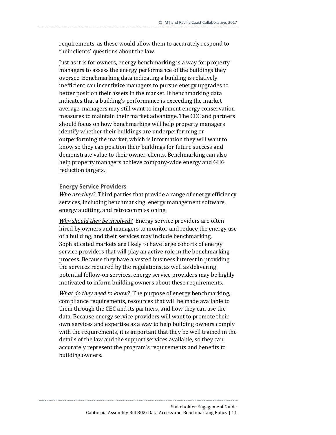requirements, as these would allow them to accurately respond to their clients' questions about the law.

Just as it is for owners, energy benchmarking is a way for property managers to assess the energy performance of the buildings they oversee. Benchmarking data indicating a building is relatively inefficient can incentivize managers to pursue energy upgrades to better position their assets in the market. If benchmarking data indicates that a building's performance is exceeding the market average, managers may still want to implement energy conservation measures to maintain their market advantage. The CEC and partners should focus on how benchmarking will help property managers identify whether their buildings are underperforming or outperforming the market, which is information they will want to know so they can position their buildings for future success and demonstrate value to their owner-clients. Benchmarking can also help property managers achieve company-wide energy and GHG reduction targets.

#### **Energy Service Providers**

*Who are they?* Third parties that provide a range of energy efficiency services, including benchmarking, energy management software, energy auditing, and retrocommissioning.

*Why should they be involved?* Energy service providers are often hired by owners and managers to monitor and reduce the energy use of a building, and their services may include benchmarking. Sophisticated markets are likely to have large cohorts of energy service providers that will play an active role in the benchmarking process. Because they have a vested business interest in providing the services required by the regulations, as well as delivering potential follow-on services, energy service providers may be highly motivated to inform building owners about these requirements.

*What do they need to know?* The purpose of energy benchmarking, compliance requirements, resources that will be made available to them through the CEC and its partners, and how they can use the data. Because energy service providers will want to promote their own services and expertise as a way to help building owners comply with the requirements, it is important that they be well trained in the details of the law and the support services available, so they can accurately represent the program's requirements and benefits to building owners.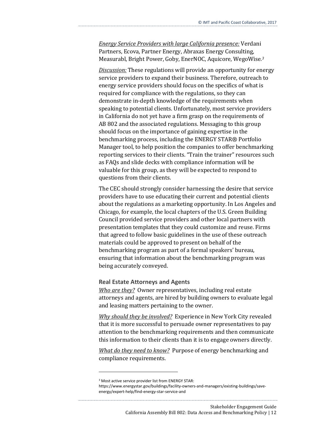*Energy Service Providers with large California presence:* Verdani Partners, Ecova, Partner Energy, Abraxas Energy Consulting, Measurabl, Bright Power, Goby, EnerNOC, Aquicore, WegoWise*. 3*

*Discussion:* These regulations will provide an opportunity for energy service providers to expand their business. Therefore, outreach to energy service providers should focus on the specifics of what is required for compliance with the regulations, so they can demonstrate in-depth knowledge of the requirements when speaking to potential clients. Unfortunately, most service providers in California do not yet have a firm grasp on the requirements of AB 802 and the associated regulations. Messaging to this group should focus on the importance of gaining expertise in the benchmarking process, including the ENERGY STAR® Portfolio Manager tool, to help position the companies to offer benchmarking reporting services to their clients. "Train the trainer" resources such as FAQs and slide decks with compliance information will be valuable for this group, as they will be expected to respond to questions from their clients.

The CEC should strongly consider harnessing the desire that service providers have to use educating their current and potential clients about the regulations as a marketing opportunity. In Los Angeles and Chicago, for example, the local chapters of the U.S. Green Building Council provided service providers and other local partners with presentation templates that they could customize and reuse. Firms that agreed to follow basic guidelines in the use of these outreach materials could be approved to present on behalf of the benchmarking program as part of a formal speakers' bureau, ensuring that information about the benchmarking program was being accurately conveyed.

#### **Real Estate Attorneys and Agents**

*Who are they?* Owner representatives, including real estate attorneys and agents, are hired by building owners to evaluate legal and leasing matters pertaining to the owner.

*Why should they be involved?* Experience in New York City revealed that it is more successful to persuade owner representatives to pay attention to the benchmarking requirements and then communicate this information to their clients than it is to engage owners directly.

*What do they need to know?* Purpose of energy benchmarking and compliance requirements.

l

<sup>3</sup> Most active service provider list from ENERGY STAR:

https://www.energystar.gov/buildings/facility-owners-and-managers/existing-buildings/saveenergy/expert-help/find-energy-star-service-and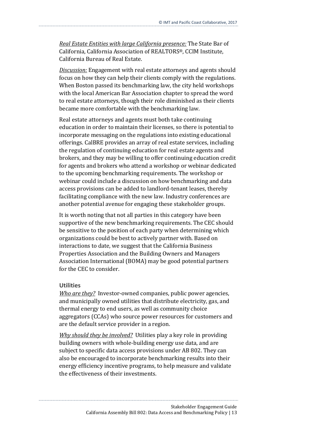*Real Estate Entities with large California presence:* The State Bar of California, California Association of REALTORS®, CCIM Institute, California Bureau of Real Estate.

*Discussion:* Engagement with real estate attorneys and agents should focus on how they can help their clients comply with the regulations. When Boston passed its benchmarking law, the city held workshops with the local American Bar Association chapter to spread the word to real estate attorneys, though their role diminished as their clients became more comfortable with the benchmarking law.

Real estate attorneys and agents must both take continuing education in order to maintain their licenses, so there is potential to incorporate messaging on the regulations into existing educational offerings. CalBRE provides an array of real estate services, including the regulation of continuing education for real estate agents and brokers, and they may be willing to offer continuing education credit for agents and brokers who attend a workshop or webinar dedicated to the upcoming benchmarking requirements. The workshop or webinar could include a discussion on how benchmarking and data access provisions can be added to landlord-tenant leases, thereby facilitating compliance with the new law. Industry conferences are another potential avenue for engaging these stakeholder groups.

It is worth noting that not all parties in this category have been supportive of the new benchmarking requirements. The CEC should be sensitive to the position of each party when determining which organizations could be best to actively partner with. Based on interactions to date, we suggest that the California Business Properties Association and the Building Owners and Managers Association International (BOMA) may be good potential partners for the CEC to consider.

#### **Utilities**

*Who are they?* Investor-owned companies, public power agencies, and municipally owned utilities that distribute electricity, gas, and thermal energy to end users, as well as community choice aggregators (CCAs) who source power resources for customers and are the default service provider in a region.

*Why should they be involved?* Utilities play a key role in providing building owners with whole-building energy use data, and are subject to specific data access provisions under AB 802. They can also be encouraged to incorporate benchmarking results into their energy efficiency incentive programs, to help measure and validate the effectiveness of their investments.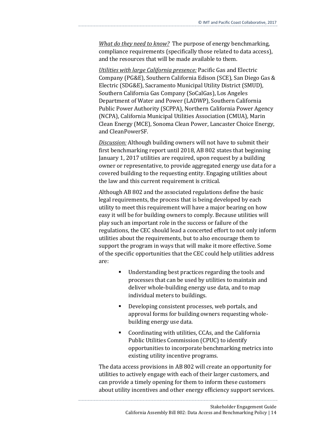*What do they need to know?* The purpose of energy benchmarking, compliance requirements (specifically those related to data access), and the resources that will be made available to them.

*Utilities with large California presence:* Pacific Gas and Electric Company (PG&E), Southern California Edison (SCE), San Diego Gas & Electric (SDG&E), Sacramento Municipal Utility District (SMUD), Southern California Gas Company (SoCalGas), Los Angeles Department of Water and Power (LADWP), Southern California Public Power Authority (SCPPA), Northern California Power Agency (NCPA), California Municipal Utilities Association (CMUA), Marin Clean Energy (MCE), Sonoma Clean Power, Lancaster Choice Energy, and CleanPowerSF.

*Discussion:* Although building owners will not have to submit their first benchmarking report until 2018, AB 802 states that beginning January 1, 2017 utilities are required, upon request by a building owner or representative, to provide aggregated energy use data for a covered building to the requesting entity. Engaging utilities about the law and this current requirement is critical.

Although AB 802 and the associated regulations define the basic legal requirements, the process that is being developed by each utility to meet this requirement will have a major bearing on how easy it will be for building owners to comply. Because utilities will play such an important role in the success or failure of the regulations, the CEC should lead a concerted effort to not only inform utilities about the requirements, but to also encourage them to support the program in ways that will make it more effective. Some of the specific opportunities that the CEC could help utilities address are:

- Understanding best practices regarding the tools and processes that can be used by utilities to maintain and deliver whole-building energy use data, and to map individual meters to buildings.
- Developing consistent processes, web portals, and approval forms for building owners requesting wholebuilding energy use data.
- Coordinating with utilities, CCAs, and the California Public Utilities Commission (CPUC) to identify opportunities to incorporate benchmarking metrics into existing utility incentive programs.

The data access provisions in AB 802 will create an opportunity for utilities to actively engage with each of their larger customers, and can provide a timely opening for them to inform these customers about utility incentives and other energy efficiency support services.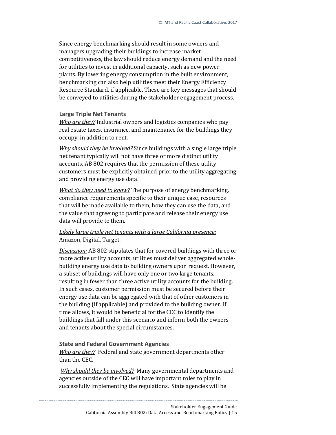Since energy benchmarking should result in some owners and managers upgrading their buildings to increase market competitiveness, the law should reduce energy demand and the need for utilities to invest in additional capacity, such as new power plants. By lowering energy consumption in the built environment, benchmarking can also help utilities meet their Energy Efficiency Resource Standard, if applicable. These are key messages that should be conveyed to utilities during the stakeholder engagement process.

#### **Large Triple Net Tenants**

*Who are they?* Industrial owners and logistics companies who pay real estate taxes, insurance, and maintenance for the buildings they occupy, in addition to rent.

*Why should they be involved?* Since buildings with a single large triple net tenant typically will not have three or more distinct utility accounts, AB 802 requires that the permission of these utility customers must be explicitly obtained prior to the utility aggregating and providing energy use data.

*What do they need to know?* The purpose of energy benchmarking, compliance requirements specific to their unique case, resources that will be made available to them, how they can use the data, and the value that agreeing to participate and release their energy use data will provide to them.

#### *Likely large triple net tenants with a large California presence:* Amazon, Digital, Target.

*Discussion:* AB 802 stipulates that for covered buildings with three or more active utility accounts, utilities must deliver aggregated wholebuilding energy use data to building owners upon request. However, a subset of buildings will have only one or two large tenants, resulting in fewer than three active utility accounts for the building. In such cases, customer permission must be secured before their energy use data can be aggregated with that of other customers in the building (if applicable) and provided to the building owner. If time allows, it would be beneficial for the CEC to identify the buildings that fall under this scenario and inform both the owners and tenants about the special circumstances.

#### **State and Federal Government Agencies**

*Who are they?* Federal and *s*tate government departments other than the CEC.

*Why should they be involved?* Many governmental departments and agencies outside of the CEC will have important roles to play in successfully implementing the regulations. State agencies will be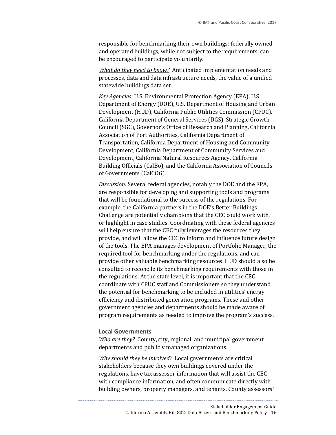responsible for benchmarking their own buildings; federally owned and operated buildings, while not subject to the requirements, can be encouraged to participate voluntarily.

*What do they need to know?* Anticipated implementation needs and processes, data and data infrastructure needs, the value of a unified statewide buildings data set.

*Key Agencies:* U.S. Environmental Protection Agency (EPA), U.S. Department of Energy (DOE), U.S. Department of Housing and Urban Development (HUD), California Public Utilities Commission (CPUC), California Department of General Services (DGS), Strategic Growth Council (SGC), Governor's Office of Research and Planning, California Association of Port Authorities, California Department of Transportation, California Department of Housing and Community Development, California Department of Community Services and Development, California Natural Resources Agency, California Building Officials (CalBo), and the California Association of Councils of Governments (CalCOG).

*Discussion:* Several federal agencies, notably the DOE and the EPA, are responsible for developing and supporting tools and programs that will be foundational to the success of the regulations. For example, the California partners in the DOE's Better Buildings Challenge are potentially champions that the CEC could work with, or highlight in case studies. Coordinating with these federal agencies will help ensure that the CEC fully leverages the resources they provide, and will allow the CEC to inform and influence future design of the tools. The EPA manages development of Portfolio Manager, the required tool for benchmarking under the regulations, and can provide other valuable benchmarking resources. HUD should also be consulted to reconcile its benchmarking requirements with those in the regulations. At the state level, it is important that the CEC coordinate with CPUC staff and Commissioners so they understand the potential for benchmarking to be included in utilities' energy efficiency and distributed generation programs. These and other government agencies and departments should be made aware of program requirements as needed to improve the program's success.

#### **Local Governments**

*Who are they?* County, city, regional, and municipal government departments and publicly managed organizations.

*Why should they be involved?* Local governments are critical stakeholders because they own buildings covered under the regulations, have tax assessor information that will assist the CEC with compliance information, and often communicate directly with building owners, property managers, and tenants. County assessors'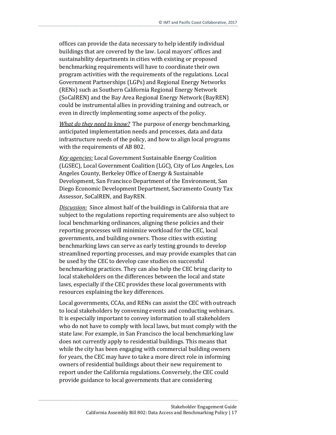offices can provide the data necessary to help identify individual buildings that are covered by the law. Local mayors' offices and sustainability departments in cities with existing or proposed benchmarking requirements will have to coordinate their own program activities with the requirements of the regulations. Local Government Partnerships (LGPs) and Regional Energy Networks (RENs) such as Southern California Regional Energy Network (SoCalREN) and the Bay Area Regional Energy Network (BayREN) could be instrumental allies in providing training and outreach, or even in directly implementing some aspects of the policy.

*What do they need to know?* The purpose of energy benchmarking, anticipated implementation needs and processes, data and data infrastructure needs of the policy, and how to align local programs with the requirements of AB 802.

*Key agencies:* Local Government Sustainable Energy Coalition (LGSEC), Local Government Coalition (LGC), City of Los Angeles, Los Angeles County, Berkeley Office of Energy & Sustainable Development, San Francisco Department of the Environment, San Diego Economic Development Department, Sacramento County Tax Assessor, SoCalREN, and BayREN.

*Discussion:* Since almost half of the buildings in California that are subject to the regulations reporting requirements are also subject to local benchmarking ordinances, aligning these policies and their reporting processes will minimize workload for the CEC, local governments, and building owners. Those cities with existing benchmarking laws can serve as early testing grounds to develop streamlined reporting processes, and may provide examples that can be used by the CEC to develop case studies on successful benchmarking practices. They can also help the CEC bring clarity to local stakeholders on the differences between the local and state laws, especially if the CEC provides these local governments with resources explaining the key differences.

Local governments, CCAs, and RENs can assist the CEC with outreach to local stakeholders by convening events and conducting webinars. It is especially important to convey information to all stakeholders who do not have to comply with local laws, but must comply with the state law. For example, in San Francisco the local benchmarking law does not currently apply to residential buildings. This means that while the city has been engaging with commercial building owners for years, the CEC may have to take a more direct role in informing owners of residential buildings about their new requirement to report under the California regulations. Conversely, the CEC could provide guidance to local governments that are considering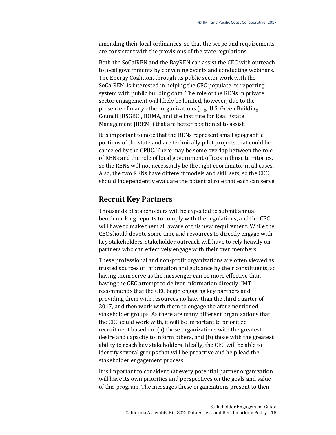amending their local ordinances, so that the scope and requirements are consistent with the provisions of the state regulations.

Both the SoCalREN and the BayREN can assist the CEC with outreach to local governments by convening events and conducting webinars. The Energy Coalition, through its public sector work with the SoCalREN, is interested in helping the CEC populate its reporting system with public building data. The role of the RENs in private sector engagement will likely be limited, however, due to the presence of many other organizations (e.g. U.S. Green Building Council [USGBC], BOMA, and the Institute for Real Estate Management [IREM]) that are better positioned to assist.

It is important to note that the RENs represent small geographic portions of the state and are technically pilot projects that could be canceled by the CPUC. There may be some overlap between the role of RENs and the role of local government offices in those territories, so the RENs will not necessarily be the right coordinator in all cases. Also, the two RENs have different models and skill sets, so the CEC should independently evaluate the potential role that each can serve.

# <span id="page-18-0"></span>**Recruit Key Partners**

Thousands of stakeholders will be expected to submit annual benchmarking reports to comply with the regulations, and the CEC will have to make them all aware of this new requirement. While the CEC should devote some time and resources to directly engage with key stakeholders, stakeholder outreach will have to rely heavily on partners who can effectively engage with their own members.

These professional and non-profit organizations are often viewed as trusted sources of information and guidance by their constituents, so having them serve as the messenger can be more effective than having the CEC attempt to deliver information directly. IMT recommends that the CEC begin engaging key partners and providing them with resources no later than the third quarter of 2017, and then work with them to engage the aforementioned stakeholder groups. As there are many different organizations that the CEC could work with, it will be important to prioritize recruitment based on: (a) those organizations with the greatest desire and capacity to inform others, and (b) those with the greatest ability to reach key stakeholders. Ideally, the CEC will be able to identify several groups that will be proactive and help lead the stakeholder engagement process.

It is important to consider that every potential partner organization will have its own priorities and perspectives on the goals and value of this program. The messages these organizations present to their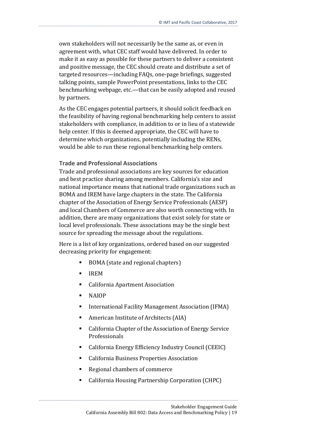own stakeholders will not necessarily be the same as, or even in agreement with, what CEC staff would have delivered. In order to make it as easy as possible for these partners to deliver a consistent and positive message, the CEC should create and distribute a set of targeted resources—including FAQs, one-page briefings, suggested talking points, sample PowerPoint presentations, links to the CEC benchmarking webpage, etc.—that can be easily adopted and reused by partners.

As the CEC engages potential partners, it should solicit feedback on the feasibility of having regional benchmarking help centers to assist stakeholders with compliance, in addition to or in lieu of a statewide help center. If this is deemed appropriate, the CEC will have to determine which organizations, potentially including the RENs, would be able to run these regional benchmarking help centers.

#### **Trade and Professional Associations**

Trade and professional associations are key sources for education and best practice sharing among members. California's size and national importance means that national trade organizations such as BOMA and IREM have large chapters in the state. The California chapter of the Association of Energy Service Professionals (AESP) and local Chambers of Commerce are also worth connecting with. In addition, there are many organizations that exist solely for state or local level professionals. These associations may be the single best source for spreading the message about the regulations.

Here is a list of key organizations, ordered based on our suggested decreasing priority for engagement:

- BOMA (state and regional chapters)
- $\blacksquare$  IREM
- California Apartment Association
- NAIOP
- **International Facility Management Association (IFMA)**
- American Institute of Architects (AIA)
- California Chapter of the Association of Energy Service Professionals
- California Energy Efficiency Industry Council (CEEIC)
- California Business Properties Association
- Regional chambers of commerce
- California Housing Partnership Corporation (CHPC)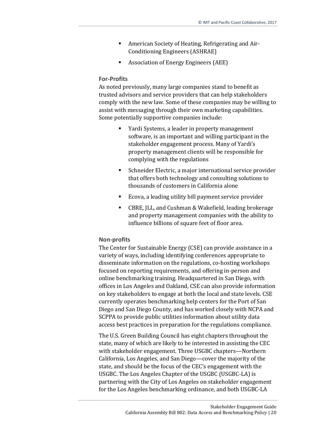- American Society of Heating, Refrigerating and Air-Conditioning Engineers (ASHRAE)
- Association of Energy Engineers (AEE)

#### **For-Profits**

As noted previously, many large companies stand to benefit as trusted advisors and service providers that can help stakeholders comply with the new law. Some of these companies may be willing to assist with messaging through their own marketing capabilities. Some potentially supportive companies include:

- Yardi Systems, a leader in property management software, is an important and willing participant in the stakeholder engagement process. Many of Yardi's property management clients will be responsible for complying with the regulations
- **Schneider Electric, a major international service provider** that offers both technology and consulting solutions to thousands of customers in California alone
- Ecova, a leading utility bill payment service provider
- CBRE, JLL, and Cushman & Wakefield, leading brokerage and property management companies with the ability to influence billions of square feet of floor area.

#### **Non-profits**

The Center for Sustainable Energy (CSE) can provide assistance in a variety of ways, including identifying conferences appropriate to disseminate information on the regulations, co-hosting workshops focused on reporting requirements, and offering in-person and online benchmarking training. Headquartered in San Diego, with offices in Los Angeles and Oakland, CSE can also provide information on key stakeholders to engage at both the local and state levels. CSE currently operates benchmarking help centers for the Port of San Diego and San Diego County, and has worked closely with NCPA and SCPPA to provide public utilities information about utility data access best practices in preparation for the regulations compliance.

The U.S. Green Building Council has eight chapters throughout the state, many of which are likely to be interested in assisting the CEC with stakeholder engagement. Three USGBC chapters—Northern California, Los Angeles, and San Diego—cover the majority of the state, and should be the focus of the CEC's engagement with the USGBC. The Los Angeles Chapter of the USGBC (USGBC-LA) is partnering with the City of Los Angeles on stakeholder engagement for the Los Angeles benchmarking ordinance, and both USGBC-LA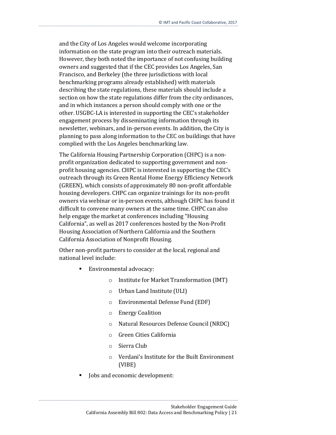and the City of Los Angeles would welcome incorporating information on the state program into their outreach materials. However, they both noted the importance of not confusing building owners and suggested that if the CEC provides Los Angeles, San Francisco, and Berkeley (the three jurisdictions with local benchmarking programs already established) with materials describing the state regulations, these materials should include a section on how the state regulations differ from the city ordinances, and in which instances a person should comply with one or the other. USGBC-LA is interested in supporting the CEC's stakeholder engagement process by disseminating information through its newsletter, webinars, and in-person events. In addition, the City is planning to pass along information to the CEC on buildings that have complied with the Los Angeles benchmarking law.

The California Housing Partnership Corporation (CHPC) is a nonprofit organization dedicated to supporting government and nonprofit housing agencies. CHPC is interested in supporting the CEC's outreach through its Green Rental Home Energy Efficiency Network (GREEN), which consists of approximately 80 non-profit affordable housing developers. CHPC can organize trainings for its non-profit owners via webinar or in-person events, although CHPC has found it difficult to convene many owners at the same time. CHPC can also help engage the market at conferences including "Housing California", as well as 2017 conferences hosted by the Non-Profit Housing Association of Northern California and the Southern California Association of Nonprofit Housing.

Other non-profit partners to consider at the local, regional and national level include:

- Environmental advocacy:
	- o Institute for Market Transformation (IMT)
	- o Urban Land Institute (ULI)
	- o Environmental Defense Fund (EDF)
	- o Energy Coalition
	- o Natural Resources Defense Council (NRDC)
	- o Green Cities California
	- o Sierra Club
	- o Verdani's Institute for the Built Environment (VIBE)
- Jobs and economic development: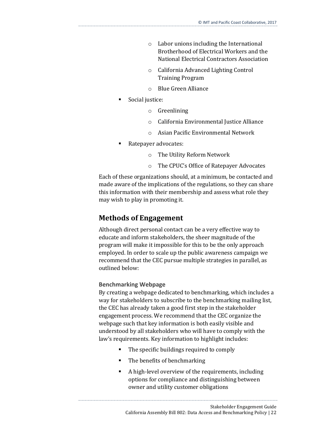- o Labor unions including the International Brotherhood of Electrical Workers and the National Electrical Contractors Association
- o California Advanced Lighting Control Training Program
- o Blue Green Alliance
- Social justice:
	- o Greenlining
	- o California Environmental Justice Alliance
	- o Asian Pacific Environmental Network
- Ratepayer advocates:
	- o The Utility Reform Network
	- o The CPUC's Office of Ratepayer Advocates

Each of these organizations should, at a minimum, be contacted and made aware of the implications of the regulations, so they can share this information with their membership and assess what role they may wish to play in promoting it.

# <span id="page-22-0"></span>**Methods of Engagement**

Although direct personal contact can be a very effective way to educate and inform stakeholders, the sheer magnitude of the program will make it impossible for this to be the only approach employed. In order to scale up the public awareness campaign we recommend that the CEC pursue multiple strategies in parallel, as outlined below:

#### **Benchmarking Webpage**

By creating a webpage dedicated to benchmarking, which includes a way for stakeholders to subscribe to the benchmarking mailing list, the CEC has already taken a good first step in the stakeholder engagement process. We recommend that the CEC organize the webpage such that key information is both easily visible and understood by all stakeholders who will have to comply with the law's requirements. Key information to highlight includes:

- The specific buildings required to comply
- The benefits of benchmarking
- A high-level overview of the requirements, including options for compliance and distinguishing between owner and utility customer obligations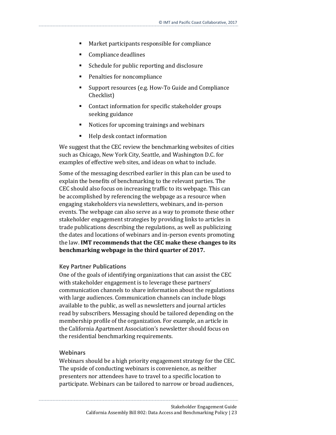- Market participants responsible for compliance
- Compliance deadlines
- Schedule for public reporting and disclosure
- Penalties for noncompliance
- Support resources (e.g. How-To Guide and Compliance Checklist)
- Contact information for specific stakeholder groups seeking guidance
- Notices for upcoming trainings and webinars
- Help desk contact information

We suggest that the CEC review the benchmarking websites of cities such as Chicago, New York City, Seattle, and Washington D.C. for examples of effective web sites, and ideas on what to include.

Some of the messaging described earlier in this plan can be used to explain the benefits of benchmarking to the relevant parties. The CEC should also focus on increasing traffic to its webpage. This can be accomplished by referencing the webpage as a resource when engaging stakeholders via newsletters, webinars, and in-person events. The webpage can also serve as a way to promote these other stakeholder engagement strategies by providing links to articles in trade publications describing the regulations, as well as publicizing the dates and locations of webinars and in-person events promoting the law. **IMT recommends that the CEC make these changes to its benchmarking webpage in the third quarter of 2017.**

#### **Key Partner Publications**

One of the goals of identifying organizations that can assist the CEC with stakeholder engagement is to leverage these partners' communication channels to share information about the regulations with large audiences. Communication channels can include blogs available to the public, as well as newsletters and journal articles read by subscribers. Messaging should be tailored depending on the membership profile of the organization. For example, an article in the California Apartment Association's newsletter should focus on the residential benchmarking requirements.

#### **Webinars**

Webinars should be a high priority engagement strategy for the CEC. The upside of conducting webinars is convenience, as neither presenters nor attendees have to travel to a specific location to participate. Webinars can be tailored to narrow or broad audiences,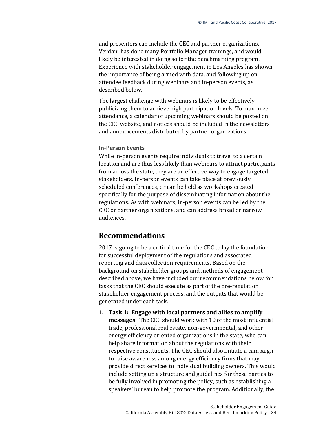and presenters can include the CEC and partner organizations. Verdani has done many Portfolio Manager trainings, and would likely be interested in doing so for the benchmarking program. Experience with stakeholder engagement in Los Angeles has shown the importance of being armed with data, and following up on attendee feedback during webinars and in-person events, as described below.

The largest challenge with webinars is likely to be effectively publicizing them to achieve high participation levels. To maximize attendance, a calendar of upcoming webinars should be posted on the CEC website, and notices should be included in the newsletters and announcements distributed by partner organizations.

#### **In-Person Events**

While in-person events require individuals to travel to a certain location and are thus less likely than webinars to attract participants from across the state, they are an effective way to engage targeted stakeholders. In-person events can take place at previously scheduled conferences, or can be held as workshops created specifically for the purpose of disseminating information about the regulations. As with webinars, in-person events can be led by the CEC or partner organizations, and can address broad or narrow audiences.

# <span id="page-24-0"></span>**Recommendations**

2017 is going to be a critical time for the CEC to lay the foundation for successful deployment of the regulations and associated reporting and data collection requirements. Based on the background on stakeholder groups and methods of engagement described above, we have included our recommendations below for tasks that the CEC should execute as part of the pre-regulation stakeholder engagement process, and the outputs that would be generated under each task.

1. **Task 1: Engage with local partners and allies to amplify messages:** The CEC should work with 10 of the most influential trade, professional real estate, non-governmental, and other energy efficiency oriented organizations in the state, who can help share information about the regulations with their respective constituents. The CEC should also initiate a campaign to raise awareness among energy efficiency firms that may provide direct services to individual building owners. This would include setting up a structure and guidelines for these parties to be fully involved in promoting the policy, such as establishing a speakers' bureau to help promote the program. Additionally, the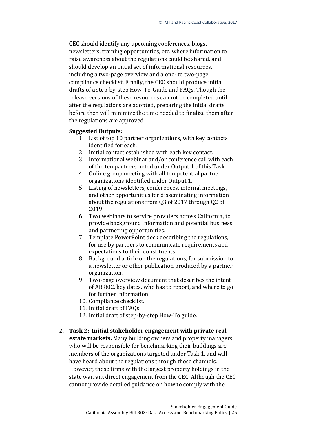CEC should identify any upcoming conferences, blogs, newsletters, training opportunities, etc. where information to raise awareness about the regulations could be shared, and should develop an initial set of informational resources, including a two-page overview and a one- to two-page compliance checklist. Finally, the CEC should produce initial drafts of a step-by-step How-To-Guide and FAQs. Though the release versions of these resources cannot be completed until after the regulations are adopted, preparing the initial drafts before then will minimize the time needed to finalize them after the regulations are approved.

#### **Suggested Outputs:**

- 1. List of top 10 partner organizations, with key contacts identified for each.
- 2. Initial contact established with each key contact.
- 3. Informational webinar and/or conference call with each of the ten partners noted under Output 1 of this Task.
- 4. Online group meeting with all ten potential partner organizations identified under Output 1.
- 5. Listing of newsletters, conferences, internal meetings, and other opportunities for disseminating information about the regulations from Q3 of 2017 through Q2 of 2019.
- 6. Two webinars to service providers across California, to provide background information and potential business and partnering opportunities.
- 7. Template PowerPoint deck describing the regulations, for use by partners to communicate requirements and expectations to their constituents.
- 8. Background article on the regulations, for submission to a newsletter or other publication produced by a partner organization.
- 9. Two-page overview document that describes the intent of AB 802, key dates, who has to report, and where to go for further information.
- 10. Compliance checklist.
- 11. Initial draft of FAQs.
- 12. Initial draft of step-by-step How-To guide.
- 2. **Task 2: Initial stakeholder engagement with private real estate markets.** Many building owners and property managers who will be responsible for benchmarking their buildings are members of the organizations targeted under Task 1, and will have heard about the regulations through those channels. However, those firms with the largest property holdings in the state warrant direct engagement from the CEC. Although the CEC cannot provide detailed guidance on how to comply with the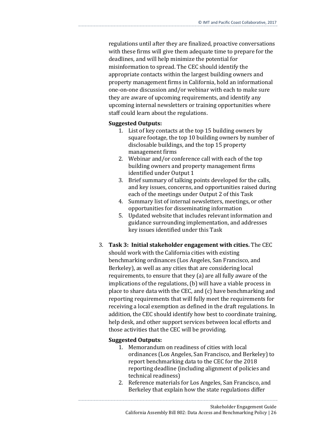regulations until after they are finalized, proactive conversations with these firms will give them adequate time to prepare for the deadlines, and will help minimize the potential for misinformation to spread. The CEC should identify the appropriate contacts within the largest building owners and property management firms in California, hold an informational one-on-one discussion and/or webinar with each to make sure they are aware of upcoming requirements, and identify any upcoming internal newsletters or training opportunities where staff could learn about the regulations.

#### **Suggested Outputs:**

- 1. List of key contacts at the top 15 building owners by square footage, the top 10 building owners by number of disclosable buildings, and the top 15 property management firms
- 2. Webinar and/or conference call with each of the top building owners and property management firms identified under Output 1
- 3. Brief summary of talking points developed for the calls, and key issues, concerns, and opportunities raised during each of the meetings under Output 2 of this Task
- 4. Summary list of internal newsletters, meetings, or other opportunities for disseminating information
- 5. Updated website that includes relevant information and guidance surrounding implementation, and addresses key issues identified under this Task
- 3. **Task 3: Initial stakeholder engagement with cities.** The CEC should work with the California cities with existing benchmarking ordinances (Los Angeles, San Francisco, and Berkeley), as well as any cities that are considering local requirements, to ensure that they (a) are all fully aware of the implications of the regulations, (b) will have a viable process in place to share data with the CEC, and (c) have benchmarking and reporting requirements that will fully meet the requirements for receiving a local exemption as defined in the draft regulations. In addition, the CEC should identify how best to coordinate training, help desk, and other support services between local efforts and those activities that the CEC will be providing.

#### **Suggested Outputs:**

- 1. Memorandum on readiness of cities with local ordinances (Los Angeles, San Francisco, and Berkeley) to report benchmarking data to the CEC for the 2018 reporting deadline (including alignment of policies and technical readiness)
- 2. Reference materials for Los Angeles, San Francisco, and Berkeley that explain how the state regulations differ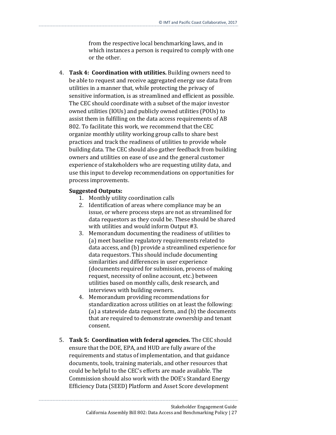from the respective local benchmarking laws, and in which instances a person is required to comply with one or the other.

4. **Task 4: Coordination with utilities.** Building owners need to be able to request and receive aggregated energy use data from utilities in a manner that, while protecting the privacy of sensitive information, is as streamlined and efficient as possible. The CEC should coordinate with a subset of the major investor owned utilities (IOUs) and publicly owned utilities (POUs) to assist them in fulfilling on the data access requirements of AB 802. To facilitate this work, we recommend that the CEC organize monthly utility working group calls to share best practices and track the readiness of utilities to provide whole building data. The CEC should also gather feedback from building owners and utilities on ease of use and the general customer experience of stakeholders who are requesting utility data, and use this input to develop recommendations on opportunities for process improvements.

#### **Suggested Outputs:**

- 1. Monthly utility coordination calls
- 2. Identification of areas where compliance may be an issue, or where process steps are not as streamlined for data requestors as they could be. These should be shared with utilities and would inform Output #3.
- 3. Memorandum documenting the readiness of utilities to (a) meet baseline regulatory requirements related to data access, and (b) provide a streamlined experience for data requestors. This should include documenting similarities and differences in user experience (documents required for submission, process of making request, necessity of online account, etc.) between utilities based on monthly calls, desk research, and interviews with building owners.
- 4. Memorandum providing recommendations for standardization across utilities on at least the following: (a) a statewide data request form, and (b) the documents that are required to demonstrate ownership and tenant consent.
- 5. **Task 5: Coordination with federal agencies.** The CEC should ensure that the DOE, EPA, and HUD are fully aware of the requirements and status of implementation, and that guidance documents, tools, training materials, and other resources that could be helpful to the CEC's efforts are made available. The Commission should also work with the DOE's Standard Energy Efficiency Data (SEED) Platform and Asset Score development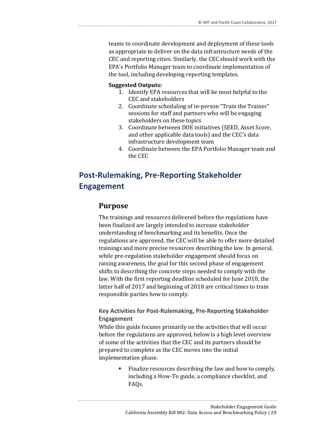teams to coordinate development and deployment of these tools as appropriate to deliver on the data infrastructure needs of the CEC and reporting cities. Similarly, the CEC should work with the EPA's Portfolio Manager team to coordinate implementation of the tool, including developing reporting templates.

#### **Suggested Outputs:**

- 1. Identify EPA resources that will be most helpful to the CEC and stakeholders
- 2. Coordinate scheduling of in-person "Train the Trainer" sessions for staff and partners who will be engaging stakeholders on these topics
- 3. Coordinate between DOE initiatives (SEED, Asset Score, and other applicable data tools) and the CEC's data infrastructure development team
- 4. Coordinate between the EPA Portfolio Manager team and the CEC

# <span id="page-28-0"></span>**Post-Rulemaking, Pre-Reporting Stakeholder Engagement**

# <span id="page-28-1"></span>**Purpose**

The trainings and resources delivered before the regulations have been finalized are largely intended to increase stakeholder understanding of benchmarking and its benefits. Once the regulations are approved, the CEC will be able to offer more detailed trainings and more precise resources describing the law. In general, while pre-regulation stakeholder engagement should focus on raising awareness, the goal for this second phase of engagement shifts to describing the concrete steps needed to comply with the law. With the first reporting deadline scheduled for June 2018, the latter half of 2017 and beginning of 2018 are critical times to train responsible parties how to comply.

#### **Key Activities for Post-Rulemaking, Pre-Reporting Stakeholder Engagement**

While this guide focuses primarily on the activities that will occur before the regulations are approved, below is a high level overview of some of the activities that the CEC and its partners should be prepared to complete as the CEC moves into the initial implementation phase.

> Finalize resources describing the law and how to comply, including a How-To guide, a compliance checklist, and FAQs.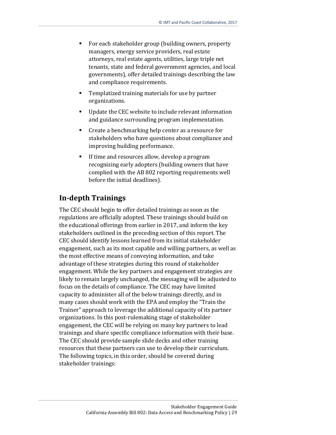- For each stakeholder group (building owners, property managers, energy service providers, real estate attorneys, real estate agents, utilities, large triple net tenants, state and federal government agencies, and local governments), offer detailed trainings describing the law and compliance requirements.
- Templatized training materials for use by partner organizations.
- Update the CEC website to include relevant information and guidance surrounding program implementation.
- Create a benchmarking help center as a resource for stakeholders who have questions about compliance and improving building performance.
- If time and resources allow, develop a program recognizing early adopters (building owners that have complied with the AB 802 reporting requirements well before the initial deadlines).

# <span id="page-29-0"></span>**In-depth Trainings**

The CEC should begin to offer detailed trainings as soon as the regulations are officially adopted. These trainings should build on the educational offerings from earlier in 2017, and inform the key stakeholders outlined in the preceding section of this report. The CEC should identify lessons learned from its initial stakeholder engagement, such as its most capable and willing partners, as well as the most effective means of conveying information, and take advantage of these strategies during this round of stakeholder engagement. While the key partners and engagement strategies are likely to remain largely unchanged, the messaging will be adjusted to focus on the details of compliance. The CEC may have limited capacity to administer all of the below trainings directly, and in many cases should work with the EPA and employ the "Train the Trainer" approach to leverage the additional capacity of its partner organizations. In this post-rulemaking stage of stakeholder engagement, the CEC will be relying on many key partners to lead trainings and share specific compliance information with their base. The CEC should provide sample slide decks and other training resources that these partners can use to develop their curriculum. The following topics, in this order, should be covered during stakeholder trainings: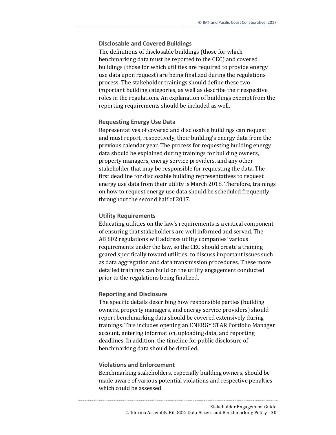#### **Disclosable and Covered Buildings**

The definitions of disclosable buildings (those for which benchmarking data must be reported to the CEC) and covered buildings (those for which utilities are required to provide energy use data upon request) are being finalized during the regulations process. The stakeholder trainings should define these two important building categories, as well as describe their respective roles in the regulations. An explanation of buildings exempt from the reporting requirements should be included as well.

#### **Requesting Energy Use Data**

Representatives of covered and disclosable buildings can request and must report, respectively, their building's energy data from the previous calendar year. The process for requesting building energy data should be explained during trainings for building owners, property managers, energy service providers, and any other stakeholder that may be responsible for requesting the data. The first deadline for disclosable building representatives to request energy use data from their utility is March 2018. Therefore, trainings on how to request energy use data should be scheduled frequently throughout the second half of 2017.

#### **Utility Requirements**

Educating utilities on the law's requirements is a critical component of ensuring that stakeholders are well informed and served. The AB 802 regulations will address utility companies' various requirements under the law, so the CEC should create a training geared specifically toward utilities, to discuss important issues such as data aggregation and data transmission procedures. These more detailed trainings can build on the utility engagement conducted prior to the regulations being finalized.

#### **Reporting and Disclosure**

The specific details describing how responsible parties (building owners, property managers, and energy service providers) should report benchmarking data should be covered extensively during trainings. This includes opening an ENERGY STAR Portfolio Manager account, entering information, uploading data, and reporting deadlines. In addition, the timeline for public disclosure of benchmarking data should be detailed.

#### **Violations and Enforcement**

Benchmarking stakeholders, especially building owners, should be made aware of various potential violations and respective penalties which could be assessed.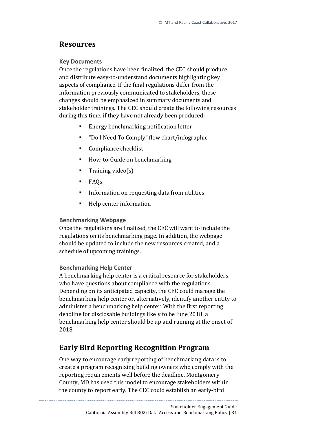# <span id="page-31-0"></span>**Resources**

#### **Key Documents**

Once the regulations have been finalized, the CEC should produce and distribute easy-to-understand documents highlighting key aspects of compliance. If the final regulations differ from the information previously communicated to stakeholders, these changes should be emphasized in summary documents and stakeholder trainings. The CEC should create the following resources during this time, if they have not already been produced:

- Energy benchmarking notification letter
- "Do I Need To Comply" flow chart/infographic
- **Compliance checklist**
- **How-to-Guide on benchmarking**
- $\blacksquare$  Training video(s)
- FAQs
- **IF Information on requesting data from utilities**
- Help center information

#### **Benchmarking Webpage**

Once the regulations are finalized, the CEC will want to include the regulations on its benchmarking page. In addition, the webpage should be updated to include the new resources created, and a schedule of upcoming trainings.

#### **Benchmarking Help Center**

A benchmarking help center is a critical resource for stakeholders who have questions about compliance with the regulations. Depending on its anticipated capacity, the CEC could manage the benchmarking help center or, alternatively, identify another entity to administer a benchmarking help center. With the first reporting deadline for disclosable buildings likely to be June 2018, a benchmarking help center should be up and running at the onset of 2018.

# <span id="page-31-1"></span>**Early Bird Reporting Recognition Program**

One way to encourage early reporting of benchmarking data is to create a program recognizing building owners who comply with the reporting requirements well before the deadline. Montgomery County, MD has used this model to encourage stakeholders within the county to report early. The CEC could establish an early-bird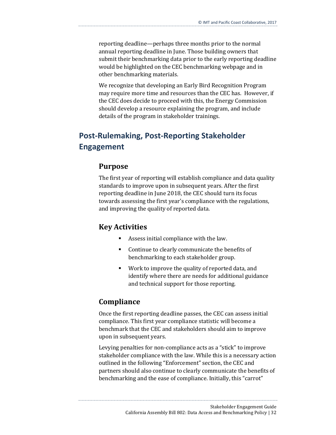reporting deadline—perhaps three months prior to the normal annual reporting deadline in June. Those building owners that submit their benchmarking data prior to the early reporting deadline would be highlighted on the CEC benchmarking webpage and in other benchmarking materials.

We recognize that developing an Early Bird Recognition Program may require more time and resources than the CEC has. However, if the CEC does decide to proceed with this, the Energy Commission should develop a resource explaining the program, and include details of the program in stakeholder trainings.

# <span id="page-32-0"></span>**Post-Rulemaking, Post-Reporting Stakeholder Engagement**

#### <span id="page-32-1"></span>**Purpose**

The first year of reporting will establish compliance and data quality standards to improve upon in subsequent years. After the first reporting deadline in June 2018, the CEC should turn its focus towards assessing the first year's compliance with the regulations, and improving the quality of reported data.

## <span id="page-32-2"></span>**Key Activities**

- Assess initial compliance with the law.
- Continue to clearly communicate the benefits of benchmarking to each stakeholder group.
- Work to improve the quality of reported data, and identify where there are needs for additional guidance and technical support for those reporting.

## <span id="page-32-3"></span>**Compliance**

Once the first reporting deadline passes, the CEC can assess initial compliance. This first year compliance statistic will become a benchmark that the CEC and stakeholders should aim to improve upon in subsequent years.

Levying penalties for non-compliance acts as a "stick" to improve stakeholder compliance with the law. While this is a necessary action outlined in the following "Enforcement" section, the CEC and partners should also continue to clearly communicate the benefits of benchmarking and the ease of compliance. Initially, this "carrot"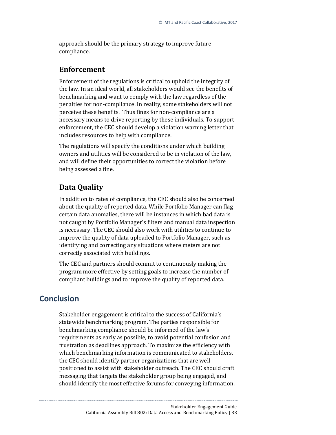approach should be the primary strategy to improve future compliance.

# <span id="page-33-0"></span>**Enforcement**

Enforcement of the regulations is critical to uphold the integrity of the law. In an ideal world, all stakeholders would see the benefits of benchmarking and want to comply with the law regardless of the penalties for non-compliance. In reality, some stakeholders will not perceive these benefits. Thus fines for non-compliance are a necessary means to drive reporting by these individuals. To support enforcement, the CEC should develop a violation warning letter that includes resources to help with compliance.

The regulations will specify the conditions under which building owners and utilities will be considered to be in violation of the law, and will define their opportunities to correct the violation before being assessed a fine.

# <span id="page-33-1"></span>**Data Quality**

In addition to rates of compliance, the CEC should also be concerned about the quality of reported data. While Portfolio Manager can flag certain data anomalies, there will be instances in which bad data is not caught by Portfolio Manager's filters and manual data inspection is necessary. The CEC should also work with utilities to continue to improve the quality of data uploaded to Portfolio Manager, such as identifying and correcting any situations where meters are not correctly associated with buildings.

The CEC and partners should commit to continuously making the program more effective by setting goals to increase the number of compliant buildings and to improve the quality of reported data.

# <span id="page-33-2"></span>**Conclusion**

Stakeholder engagement is critical to the success of California's statewide benchmarking program. The parties responsible for benchmarking compliance should be informed of the law's requirements as early as possible, to avoid potential confusion and frustration as deadlines approach. To maximize the efficiency with which benchmarking information is communicated to stakeholders, the CEC should identify partner organizations that are well positioned to assist with stakeholder outreach. The CEC should craft messaging that targets the stakeholder group being engaged, and should identify the most effective forums for conveying information.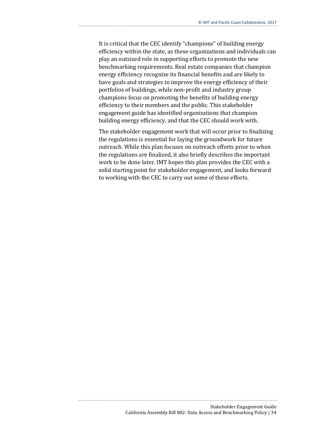It is critical that the CEC identify "champions" of building energy efficiency within the state, as these organizations and individuals can play an outsized role in supporting efforts to promote the new benchmarking requirements. Real estate companies that champion energy efficiency recognize its financial benefits and are likely to have goals and strategies to improve the energy efficiency of their portfolios of buildings, while non-profit and industry group champions focus on promoting the benefits of building energy efficiency to their members and the public. This stakeholder engagement guide has identified organizations that champion building energy efficiency, and that the CEC should work with.

The stakeholder engagement work that will occur prior to finalizing the regulations is essential for laying the groundwork for future outreach. While this plan focuses on outreach efforts prior to when the regulations are finalized, it also briefly describes the important work to be done later. IMT hopes this plan provides the CEC with a solid starting point for stakeholder engagement, and looks forward to working with the CEC to carry out some of these efforts.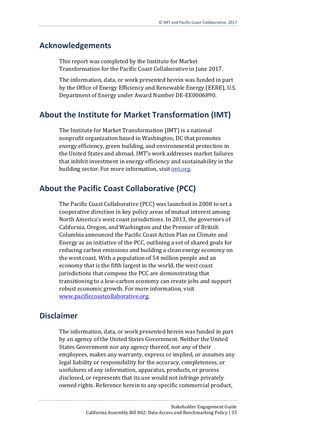# <span id="page-35-0"></span>**Acknowledgements**

This report was completed by the Institute for Market Transformation for the Pacific Coast Collaborative in June 2017.

The information, data, or work presented herein was funded in part by the Office of Energy Efficiency and Renewable Energy (EERE), U.S. Department of Energy under Award Number DE-EE0006890.

# <span id="page-35-1"></span>**About the Institute for Market Transformation (IMT)**

The Institute for Market Transformation (IMT) is a national nonprofit organization based in Washington, DC that promotes energy efficiency, green building, and environmental protection in the United States and abroad. IMT's work addresses market failures that inhibit investment in energy efficiency and sustainability in the building sector. For more information, visit *imt.org*.

# <span id="page-35-2"></span>**About the Pacific Coast Collaborative (PCC)**

The Pacific Coast Collaborative (PCC) was launched in 2008 to set a cooperative direction in key policy areas of mutual interest among North America's west coast jurisdictions. In 2013, the governors of California, Oregon, and Washington and the Premier of British Columbia announced the Pacific Coast Action Plan on Climate and Energy as an initiative of the PCC, outlining a set of shared goals for reducing carbon emissions and building a clean energy economy on the west coast. With a population of 54 million people and an economy that is the fifth largest in the world, the west coast jurisdictions that compose the PCC are demonstrating that transitioning to a low-carbon economy can create jobs and support robust economic growth. For more information, visit [www.pacificcoastcollaborative.org.](file:///C:/Users/jayson.antonoff/AppData/Local/Box/Box%20Edit/Documents/RNW_fMoPdEuH6Fqgxu1xOQ==/www.pacificcoastcollaborative.org)

# <span id="page-35-3"></span>**Disclaimer**

The information, data, or work presented herein was funded in part by an agency of the United States Government. Neither the United States Government nor any agency thereof, nor any of their employees, makes any warranty, express or implied, or assumes any legal liability or responsibility for the accuracy, completeness, or usefulness of any information, apparatus, products, or process disclosed, or represents that its use would not infringe privately owned rights. Reference herein to any specific commercial product,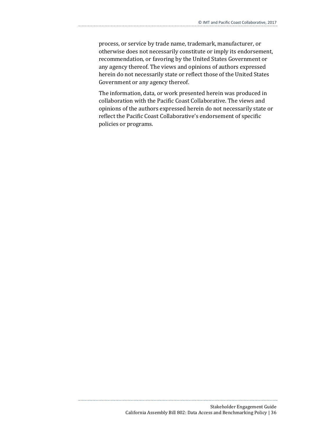process, or service by trade name, trademark, manufacturer, or otherwise does not necessarily constitute or imply its endorsement, recommendation, or favoring by the United States Government or any agency thereof. The views and opinions of authors expressed herein do not necessarily state or reflect those of the United States Government or any agency thereof.

The information, data, or work presented herein was produced in collaboration with the Pacific Coast Collaborative. The views and opinions of the authors expressed herein do not necessarily state or reflect the Pacific Coast Collaborative's endorsement of specific policies or programs.